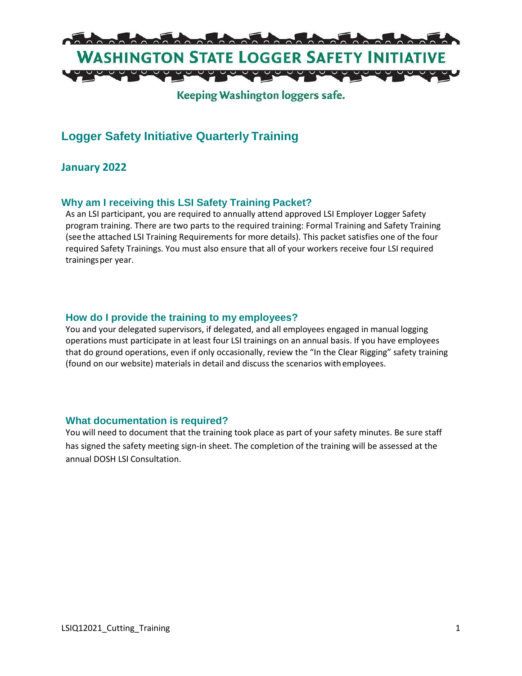

## Keeping Washington loggers safe.

# **Logger Safety Initiative Quarterly Training**

### **January 2022**

### **Why am I receiving this LSI Safety Training Packet?**

As an LSI participant, you are required to annually attend approved LSI Employer Logger Safety program training. There are two parts to the required training: Formal Training and Safety Training (seethe attached LSI Training Requirements for more details). This packet satisfies one of the four required Safety Trainings. You must also ensure that all of your workers receive four LSI required trainingsper year.

#### **How do I provide the training to my employees?**

You and your delegated supervisors, if delegated, and all employees engaged in manual logging operations must participate in at least four LSI trainings on an annual basis. If you have employees that do ground operations, even if only occasionally, review the "In the Clear Rigging" safety training (found on our website) materials in detail and discuss the scenarios withemployees.

#### **What documentation is required?**

You will need to document that the training took place as part of your safety minutes. Be sure staff has signed the safety meeting sign-in sheet. The completion of the training will be assessed at the annual DOSH LSI Consultation.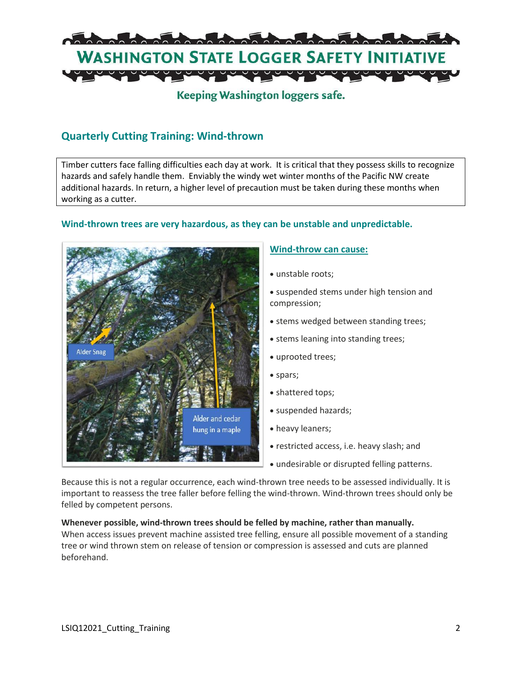

# Keeping Washington loggers safe.

## **Quarterly Cutting Training: Wind-thrown**

Timber cutters face falling difficulties each day at work. It is critical that they possess skills to recognize hazards and safely handle them. Enviably the windy wet winter months of the Pacific NW create additional hazards. In return, a higher level of precaution must be taken during these months when working as a cutter.

### **Wind-thrown trees are very hazardous, as they can be unstable and unpredictable.**



### **Wind-throw can cause:**

- unstable roots;
- suspended stems under high tension and compression;
- stems wedged between standing trees;
- stems leaning into standing trees;
- uprooted trees;
- spars;
- shattered tops;
- suspended hazards;
- heavy leaners;
- restricted access, i.e. heavy slash; and
- undesirable or disrupted felling patterns.

Because this is not a regular occurrence, each wind-thrown tree needs to be assessed individually. It is important to reassess the tree faller before felling the wind-thrown. Wind-thrown trees should only be felled by competent persons.

**Whenever possible, wind-thrown trees should be felled by machine, rather than manually.** When access issues prevent machine assisted tree felling, ensure all possible movement of a standing tree or wind thrown stem on release of tension or compression is assessed and cuts are planned beforehand.